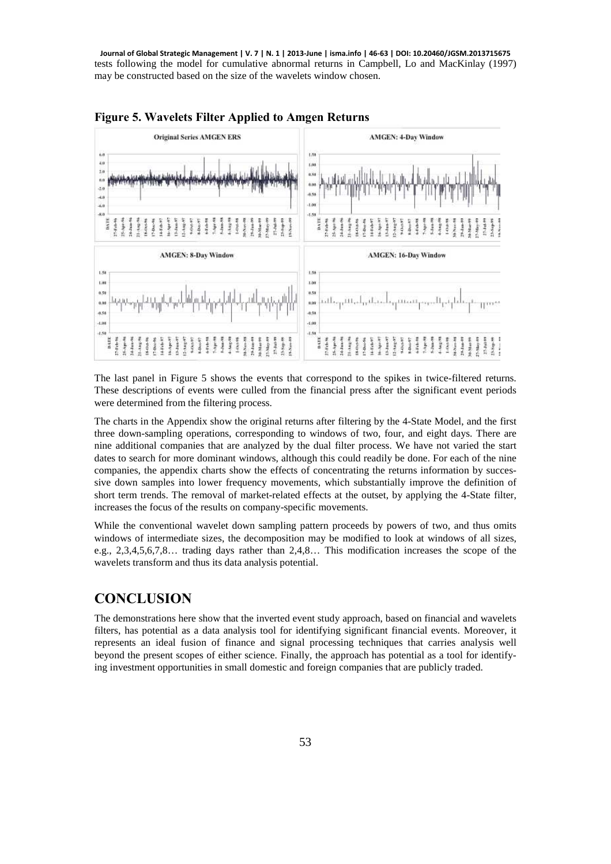tests following the model for cumulative abnormal returns in Campbell, Lo and MacKinlay (1997) may be constructed based on the size of the wavelets window chosen. **Journal of Global Strategic Management | V. 7 | N. 1 | 2013-June | isma.info | 46-63 | DOI: 10.20460/JGSM.2013715675**



**Figure 5. Wavelets Filter Applied to Amgen Returns** 

The last panel in Figure 5 shows the events that correspond to the spikes in twice-filtered returns. These descriptions of events were culled from the financial press after the significant event periods were determined from the filtering process.

The charts in the Appendix show the original returns after filtering by the 4-State Model, and the first three down-sampling operations, corresponding to windows of two, four, and eight days. There are nine additional companies that are analyzed by the dual filter process. We have not varied the start dates to search for more dominant windows, although this could readily be done. For each of the nine companies, the appendix charts show the effects of concentrating the returns information by successive down samples into lower frequency movements, which substantially improve the definition of short term trends. The removal of market-related effects at the outset, by applying the 4-State filter, increases the focus of the results on company-specific movements.

While the conventional wavelet down sampling pattern proceeds by powers of two, and thus omits windows of intermediate sizes, the decomposition may be modified to look at windows of all sizes, e.g., 2,3,4,5,6,7,8… trading days rather than 2,4,8… This modification increases the scope of the wavelets transform and thus its data analysis potential.

## **CONCLUSION**

The demonstrations here show that the inverted event study approach, based on financial and wavelets filters, has potential as a data analysis tool for identifying significant financial events. Moreover, it represents an ideal fusion of finance and signal processing techniques that carries analysis well beyond the present scopes of either science. Finally, the approach has potential as a tool for identifying investment opportunities in small domestic and foreign companies that are publicly traded.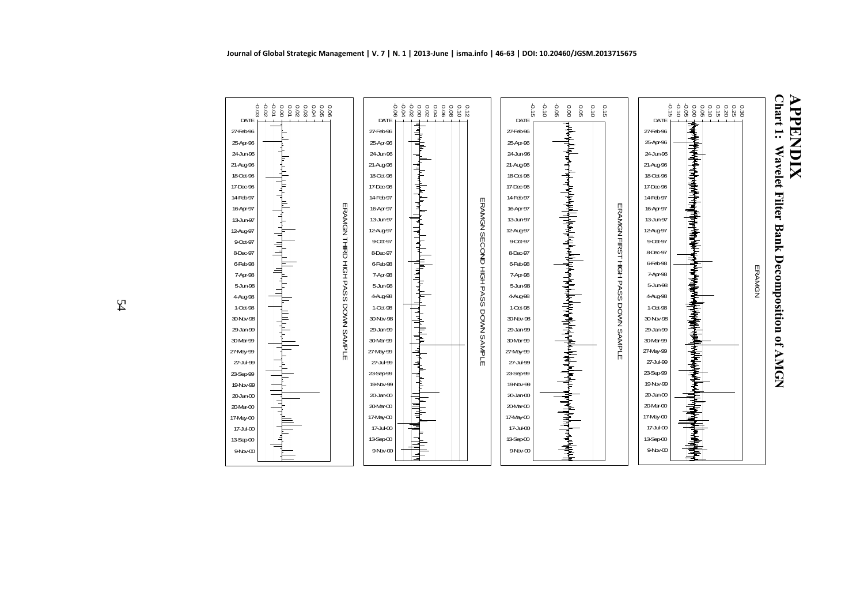

| 8<br>8<br>8<br>8<br>6.0000<br>0.0000000 | -0.04<br>8880<br>$-0.06$<br>$\begin{array}{c} 0.000 \\ 0.000 \\ 0.000 \end{array}$<br>0.12<br>DATE                           |                                     | $-0.15$<br>DATE | $-0.10$<br>-0.05<br>0.00<br>90.0<br>0.10                                                                                                                                                                                                                                                                                                                                                                                                                            | 0.15                   | ò.<br>$\vec{a}$<br>DATE | $880$<br>$680$<br>$\begin{array}{c} 0.000 \\ 0.000 \\ -0.00 \\ \end{array}$<br>0.9<br>0.8<br>8<br>8 |        |
|-----------------------------------------|------------------------------------------------------------------------------------------------------------------------------|-------------------------------------|-----------------|---------------------------------------------------------------------------------------------------------------------------------------------------------------------------------------------------------------------------------------------------------------------------------------------------------------------------------------------------------------------------------------------------------------------------------------------------------------------|------------------------|-------------------------|-----------------------------------------------------------------------------------------------------|--------|
|                                         | դի անհրանի համար անցանց համար անձնառանց համար անցանց համար անցանց համար անցանց համար անցանց համար համար համար հ<br>27-Feb-96 |                                     | 27-Feb-96       | ╎┈╜╝╌┈┩┑┙┪┈┙┰╌┪╌┪╌┑┙┈┙┪┺╌┙╌┙┥┙┪┥┧┥╌┥┪┙┧┧┙┪┪┙┪┪╌┙┪┙┧┧┧┥┙┙╌┙┥┙┧                                                                                                                                                                                                                                                                                                                                                                                                       |                        | 27-Feb-96               |                                                                                                     |        |
|                                         | 25-Apr-96                                                                                                                    |                                     | 25-Apr-96       |                                                                                                                                                                                                                                                                                                                                                                                                                                                                     |                        | 25-Apr-96               |                                                                                                     |        |
|                                         | 24-Jun-96                                                                                                                    |                                     | 24-Jun-96       |                                                                                                                                                                                                                                                                                                                                                                                                                                                                     |                        | 24-Jun-96               |                                                                                                     |        |
|                                         | 21-Aug-96                                                                                                                    |                                     | 21-Aug-96       |                                                                                                                                                                                                                                                                                                                                                                                                                                                                     |                        | 21-Aug-96               |                                                                                                     |        |
| ┯╅┖╍┾┧┼┧┲╍╀╍                            | 18-Oct-96                                                                                                                    |                                     | 18-Oct-96       |                                                                                                                                                                                                                                                                                                                                                                                                                                                                     |                        | 18-Oct-96               |                                                                                                     |        |
|                                         | 17-Dec-96                                                                                                                    |                                     | 17-Dec-96       |                                                                                                                                                                                                                                                                                                                                                                                                                                                                     |                        | 17-Dec-96               |                                                                                                     |        |
|                                         | 14-Feb-97                                                                                                                    |                                     | 14-Feb-97       |                                                                                                                                                                                                                                                                                                                                                                                                                                                                     |                        | 14-Feb-97               |                                                                                                     |        |
|                                         | 16-Apr-97                                                                                                                    | ERANGN SECOND HIGH PASS DOWN SAMPLE | 16-Apr-97       |                                                                                                                                                                                                                                                                                                                                                                                                                                                                     |                        | 16-Apr-97               |                                                                                                     |        |
| ]<br> <br>                              | 13-Jun-97                                                                                                                    |                                     | 13-Jun-97       |                                                                                                                                                                                                                                                                                                                                                                                                                                                                     |                        | 13-Jun-97               |                                                                                                     |        |
|                                         | 12-Aug-97                                                                                                                    |                                     | 12-Aug-97       |                                                                                                                                                                                                                                                                                                                                                                                                                                                                     |                        | 12-Aug-97               |                                                                                                     |        |
|                                         | 9-Oct-97                                                                                                                     |                                     | 9-Oct-97        |                                                                                                                                                                                                                                                                                                                                                                                                                                                                     |                        | 9-Oct-97                |                                                                                                     |        |
| ERAMGNTHIRD                             | 8-Dec-97                                                                                                                     |                                     | 8-Dec-97        |                                                                                                                                                                                                                                                                                                                                                                                                                                                                     | ERAMGN FIRST HIGH PASS | 8-Dec-97                |                                                                                                     |        |
|                                         | 6-Feb-98                                                                                                                     |                                     | 6-Feb-98        |                                                                                                                                                                                                                                                                                                                                                                                                                                                                     |                        | 6-Feb-98                |                                                                                                     |        |
| 프 <sub>모</sub>                          | ╠┦ <b>╢╫</b><br>7-Apr-98                                                                                                     |                                     | 7-Apr-98        |                                                                                                                                                                                                                                                                                                                                                                                                                                                                     |                        | 7-Apr-98                |                                                                                                     | ERAMGN |
| <b>PASS</b>                             | 5-Jun-98                                                                                                                     |                                     | 5-Jun-98        |                                                                                                                                                                                                                                                                                                                                                                                                                                                                     |                        | 5-Jun-98                |                                                                                                     |        |
|                                         | 4 Aug 98                                                                                                                     |                                     | 4-Aug-98        |                                                                                                                                                                                                                                                                                                                                                                                                                                                                     |                        | 4-Aug-98                |                                                                                                     |        |
|                                         | 1-Oct-98                                                                                                                     |                                     | 1-Oct-98        |                                                                                                                                                                                                                                                                                                                                                                                                                                                                     |                        | 1-Oct-98                |                                                                                                     |        |
|                                         | 30-Nov-98                                                                                                                    |                                     | 30-Nov-98       |                                                                                                                                                                                                                                                                                                                                                                                                                                                                     |                        | 30-Nov-98               |                                                                                                     |        |
| Ę                                       | 29-Jan-99                                                                                                                    |                                     | 29-Jan-99       |                                                                                                                                                                                                                                                                                                                                                                                                                                                                     |                        | 29-Jan-99               |                                                                                                     |        |
| DOWN SAMPLE                             | ┷╀┶╀╄╌┨┲╺╣┺┝┨╾┺╊┾┑╫┺┶╄┲╫<br>30-Mar-99                                                                                        |                                     | 30-Mar-99       |                                                                                                                                                                                                                                                                                                                                                                                                                                                                     | DOWN SAMPLE            | 30-Mar-99               |                                                                                                     |        |
|                                         | 27-May-99                                                                                                                    |                                     | 27-May-99       |                                                                                                                                                                                                                                                                                                                                                                                                                                                                     |                        | 27-May-99               |                                                                                                     |        |
|                                         | 27-Jul-99                                                                                                                    |                                     | 27-Jul-99       |                                                                                                                                                                                                                                                                                                                                                                                                                                                                     |                        | 27-Jul-99               |                                                                                                     |        |
|                                         | 23-Sep-99                                                                                                                    |                                     | 23-Sep-99       | <del>▝</del>                                                                                                                                                                                                                                                                                                                                                                                                                                                        |                        | 23-Sep-99               |                                                                                                     |        |
|                                         | 19-Nov-99                                                                                                                    |                                     | 19 Nov-99       |                                                                                                                                                                                                                                                                                                                                                                                                                                                                     |                        | 19-Nov-99               |                                                                                                     |        |
|                                         | $20$ -Jan $-00$                                                                                                              |                                     | $20$ Jan $00$   |                                                                                                                                                                                                                                                                                                                                                                                                                                                                     |                        | $20$ -Jan- $00$         |                                                                                                     |        |
| ╕                                       | ╡<br>20-Mar-00                                                                                                               |                                     | 20-Mar-00       |                                                                                                                                                                                                                                                                                                                                                                                                                                                                     |                        | 20-Mar-00               |                                                                                                     |        |
|                                         | 17-May-00                                                                                                                    |                                     | 17-May-00       | 事                                                                                                                                                                                                                                                                                                                                                                                                                                                                   |                        | 17-May-00               |                                                                                                     |        |
|                                         | 17-Jul-00                                                                                                                    |                                     | 17-Jul-00       |                                                                                                                                                                                                                                                                                                                                                                                                                                                                     |                        | 17-Jul-00               |                                                                                                     |        |
|                                         | 13-Sep-00                                                                                                                    |                                     | 13-Sep-00       |                                                                                                                                                                                                                                                                                                                                                                                                                                                                     |                        | 13-Sep-00               |                                                                                                     |        |
|                                         | 9-Nov-00                                                                                                                     |                                     | $9Nb$ v-00      | $\frac{1}{2} \left( \frac{1}{2} \right)^{\frac{1}{2}} \left( \frac{1}{2} \right)^{\frac{1}{2}} \left( \frac{1}{2} \right)^{\frac{1}{2}} \left( \frac{1}{2} \right)^{\frac{1}{2}} \left( \frac{1}{2} \right)^{\frac{1}{2}} \left( \frac{1}{2} \right)^{\frac{1}{2}} \left( \frac{1}{2} \right)^{\frac{1}{2}} \left( \frac{1}{2} \right)^{\frac{1}{2}} \left( \frac{1}{2} \right)^{\frac{1}{2}} \left( \frac{1}{2} \right)^{\frac{1}{2}} \left( \frac{1}{2} \right)^$ |                        | 9-Nbv-00                |                                                                                                     |        |
|                                         |                                                                                                                              |                                     |                 |                                                                                                                                                                                                                                                                                                                                                                                                                                                                     |                        |                         |                                                                                                     |        |



DATE27-Feb-9625-Apr-9624-Jun-9621-Aug-9618-Oct-96 17-Dec-9614-Feb-97 16-Apr-9713-Jun-9712-Aug-979-Oct-978-Dec-976-Feb-987-Apr-985-Jun-984-Aug-981-Oct-98 30-Nov-98 29-Jan-99 30-Mar-99 27-May-9927-Jul-9923-Sep-9919-Nov-9920-Jan-00 20-Mar-0017-May-0017-Jul-0013-Sep-009-Nov-00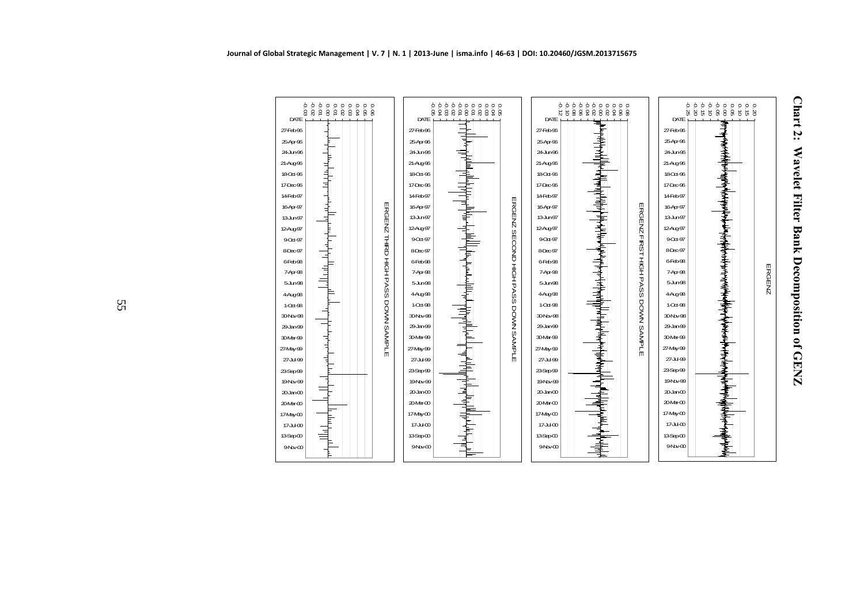



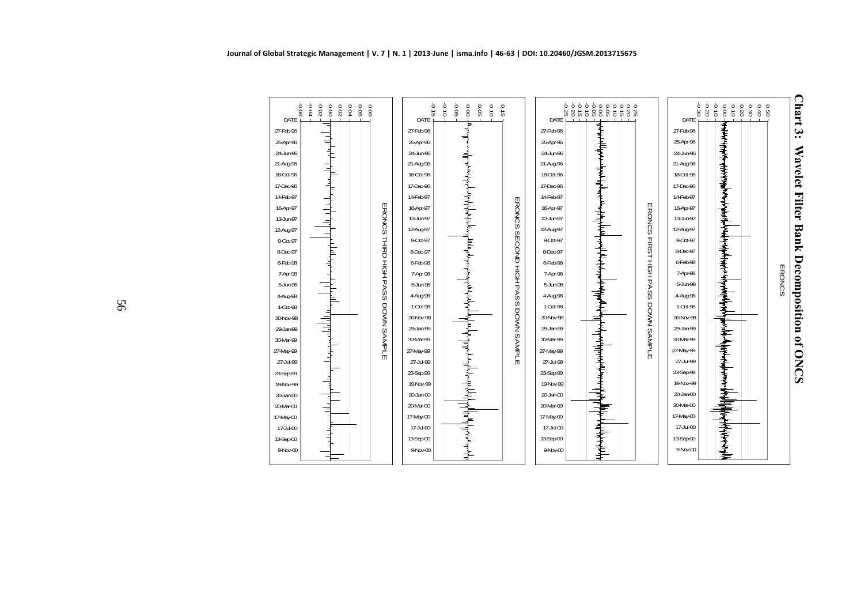

**Chart 3: Wavelet Filter Bank Decomposition of ONCS** Chart 3: Wavelet Filter Bank Decomposition of ONCS

-0.06 -0.04 -0.02 0.00

┑

 $\top$ 

┙ FEI

DATE27-Feb-9625-Apr-9624-Jun-9621-Aug-9618-Oct-9617-Dec-9614-Feb-9716-Apr-9713-Jun-9712-Aug-979-Oct-978-Dec-976-Feb-987-Apr-985-Jun-984-Aug-981-Oct-9830-Nov-9829-Jan-9930-Mar-9927-May-9927-Jul-9923-Sep-9919-Nov-9920-Jan-0020-Mar-0017-May-0017-Jul-0013-Sep-009-Nov-00 0.0<br>0.04<br>0.02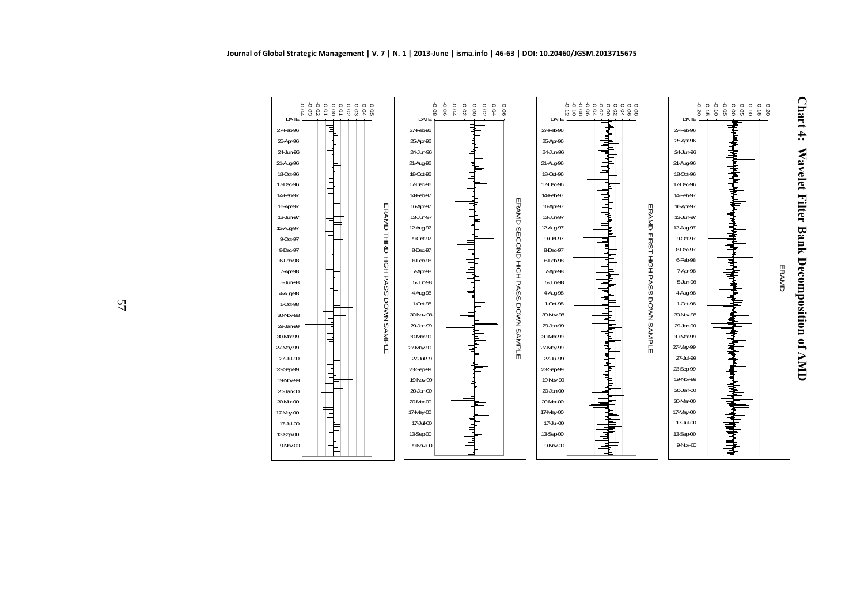



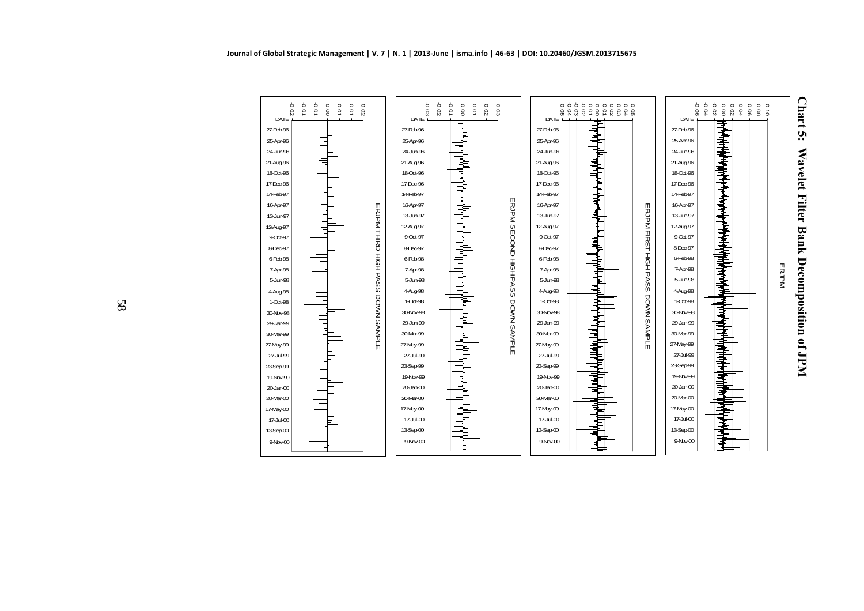



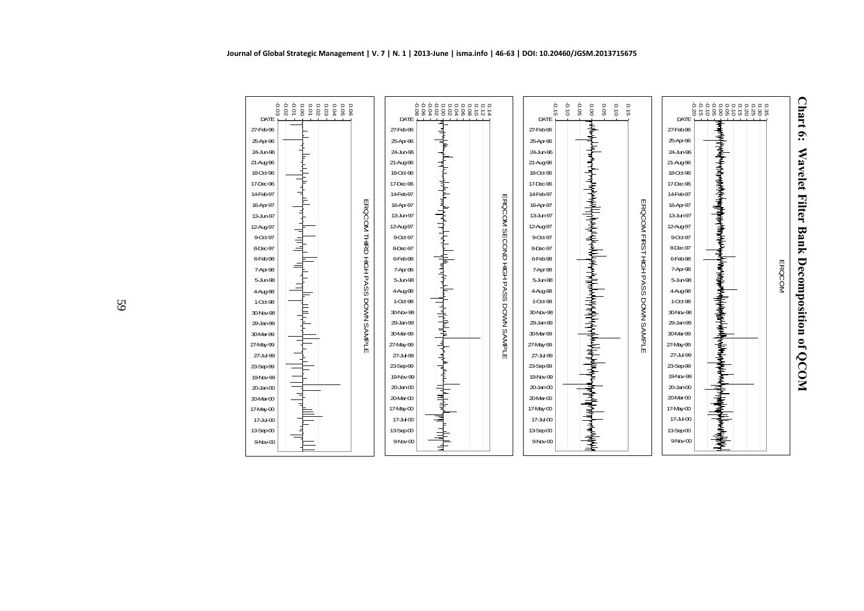

| 计算机<br>27-May-99<br>27-May-99<br>27-Jul-99<br>27-Jul-99<br>23-Sep-99<br>23-Sep-99<br>19-Nov-99<br>19-Nov-99<br>20-Jan-00<br>$20$ -Jan- $00$<br>20-Mar-00<br>20-Mar-00<br>17-May-00<br>17-May-00<br>17-Jul-00<br>17-Jul-00<br>13-Sep-00<br>13-Sep-00<br>9Nov-00<br>9-Nov-00 | ╟╝<br>ել գրավոր համար համար մասնական համար մասնական համար առաջանական համար առաջանական համար առաջանական համար մասնակա<br>ERQCOM SECOND HIGH PASS DOWN SAMPLE<br>]<br> <br> <br>╟╖┡╺┡╙╷╄╝╄ | $-0.15$<br>DATE<br>27-Feb-96<br>25-Apr-96<br>24-Jun-96<br>21-Aug-96<br>18-Oct-96<br>17-Dec-96<br>14-Feb-97<br>16-Apr-97<br>13-Jun-97<br>12-Aug-97<br>9-Oct-97<br>8-Dec-97<br>6-Feb-98<br>7-Apr-98<br>5-Jun-98<br>4-Aug-98<br>$1-Oct-98$<br>30-Nbv-98<br>29-Jan-99 | 0.10<br>90.05<br>$\overline{\text{0.0}}$<br>0.05<br>0.15<br>0.10 | DATE<br>27-Feb-96<br>25-Apr-96<br>24-Jun-96<br>21-Aug-96<br>18-Oct-96<br>17-Dec-96<br>14-Feb-97<br>16-Apr-97<br>13-Jun-97<br>12-Aug-97<br>9-Oct-97<br>8-Dec-97<br>6-Feb-98<br>7-Apr-98<br>5-Jun-98<br>4-Aug-98<br>$1-Oct - 98$<br>30-Nov-98<br>29-Jan-99 | 0 0 0 0 0 0 0 0 0 0 0 0 0<br>8 8 8 9 9 0 0 0 0 0 0 0 0 0<br>8 9 9 0 0 0 0 0 0 0 0 0<br>┪ <del>═</del><br>John Schweizer der Strauben der Strauben |  |
|----------------------------------------------------------------------------------------------------------------------------------------------------------------------------------------------------------------------------------------------------------------------------|------------------------------------------------------------------------------------------------------------------------------------------------------------------------------------------|-------------------------------------------------------------------------------------------------------------------------------------------------------------------------------------------------------------------------------------------------------------------|------------------------------------------------------------------|----------------------------------------------------------------------------------------------------------------------------------------------------------------------------------------------------------------------------------------------------------|---------------------------------------------------------------------------------------------------------------------------------------------------|--|
| ERQCOM FIRST HIGH PASS DOWN SAMPLE<br>ERQCOM<br>والموالي والموالي والمواجه والمناور والمستور والمتحدث<br>30-Mar-99<br>30-Mar-99                                                                                                                                            |                                                                                                                                                                                          |                                                                                                                                                                                                                                                                   |                                                                  |                                                                                                                                                                                                                                                          |                                                                                                                                                   |  |
|                                                                                                                                                                                                                                                                            |                                                                                                                                                                                          |                                                                                                                                                                                                                                                                   |                                                                  |                                                                                                                                                                                                                                                          |                                                                                                                                                   |  |
|                                                                                                                                                                                                                                                                            |                                                                                                                                                                                          |                                                                                                                                                                                                                                                                   |                                                                  |                                                                                                                                                                                                                                                          |                                                                                                                                                   |  |
|                                                                                                                                                                                                                                                                            |                                                                                                                                                                                          |                                                                                                                                                                                                                                                                   |                                                                  |                                                                                                                                                                                                                                                          |                                                                                                                                                   |  |
|                                                                                                                                                                                                                                                                            |                                                                                                                                                                                          |                                                                                                                                                                                                                                                                   |                                                                  |                                                                                                                                                                                                                                                          |                                                                                                                                                   |  |
|                                                                                                                                                                                                                                                                            |                                                                                                                                                                                          |                                                                                                                                                                                                                                                                   |                                                                  |                                                                                                                                                                                                                                                          |                                                                                                                                                   |  |
|                                                                                                                                                                                                                                                                            |                                                                                                                                                                                          |                                                                                                                                                                                                                                                                   |                                                                  |                                                                                                                                                                                                                                                          |                                                                                                                                                   |  |
|                                                                                                                                                                                                                                                                            |                                                                                                                                                                                          |                                                                                                                                                                                                                                                                   |                                                                  |                                                                                                                                                                                                                                                          |                                                                                                                                                   |  |
|                                                                                                                                                                                                                                                                            |                                                                                                                                                                                          |                                                                                                                                                                                                                                                                   |                                                                  |                                                                                                                                                                                                                                                          |                                                                                                                                                   |  |
|                                                                                                                                                                                                                                                                            |                                                                                                                                                                                          |                                                                                                                                                                                                                                                                   |                                                                  |                                                                                                                                                                                                                                                          |                                                                                                                                                   |  |
|                                                                                                                                                                                                                                                                            |                                                                                                                                                                                          |                                                                                                                                                                                                                                                                   |                                                                  |                                                                                                                                                                                                                                                          |                                                                                                                                                   |  |
|                                                                                                                                                                                                                                                                            |                                                                                                                                                                                          |                                                                                                                                                                                                                                                                   |                                                                  |                                                                                                                                                                                                                                                          |                                                                                                                                                   |  |
|                                                                                                                                                                                                                                                                            |                                                                                                                                                                                          |                                                                                                                                                                                                                                                                   |                                                                  |                                                                                                                                                                                                                                                          |                                                                                                                                                   |  |
|                                                                                                                                                                                                                                                                            |                                                                                                                                                                                          |                                                                                                                                                                                                                                                                   |                                                                  |                                                                                                                                                                                                                                                          |                                                                                                                                                   |  |
|                                                                                                                                                                                                                                                                            |                                                                                                                                                                                          |                                                                                                                                                                                                                                                                   |                                                                  |                                                                                                                                                                                                                                                          |                                                                                                                                                   |  |
|                                                                                                                                                                                                                                                                            |                                                                                                                                                                                          |                                                                                                                                                                                                                                                                   |                                                                  |                                                                                                                                                                                                                                                          |                                                                                                                                                   |  |
|                                                                                                                                                                                                                                                                            |                                                                                                                                                                                          |                                                                                                                                                                                                                                                                   |                                                                  |                                                                                                                                                                                                                                                          |                                                                                                                                                   |  |
|                                                                                                                                                                                                                                                                            |                                                                                                                                                                                          |                                                                                                                                                                                                                                                                   |                                                                  |                                                                                                                                                                                                                                                          |                                                                                                                                                   |  |
|                                                                                                                                                                                                                                                                            |                                                                                                                                                                                          |                                                                                                                                                                                                                                                                   |                                                                  |                                                                                                                                                                                                                                                          |                                                                                                                                                   |  |
|                                                                                                                                                                                                                                                                            |                                                                                                                                                                                          |                                                                                                                                                                                                                                                                   |                                                                  |                                                                                                                                                                                                                                                          |                                                                                                                                                   |  |
|                                                                                                                                                                                                                                                                            |                                                                                                                                                                                          |                                                                                                                                                                                                                                                                   |                                                                  |                                                                                                                                                                                                                                                          |                                                                                                                                                   |  |

DATE27-Feb-9625-Apr-9624-Jun-9621-Aug-9618-Oct-9617-Dec-9614-Feb-9716-Apr-9713-Jun-9712-Aug-979-Oct-978-Dec-976-Feb-987-Apr-985-Jun-984-Aug-981-Oct-9830-Nov-9829-Jan-9930-Mar-9927-May-9927-Jul-9923-Sep-9919-Nov-99 20-Jan-00 20-Mar-0017-May-0017-Jul-0013-Sep-009-Nov-00

ERQCOM THIRD HIGH PASS DOWN SAMPLE

ERQCOM THIRD HIGH PASS DOWN SAMPLE

-0.03 -0.02 -0.01 0.00 0.01 0.02 0.03 0.04 0.05 0.06

L

Ակ<sub>րբա</sub>ին մեկ մեր օշվ բաժշտակիցը շարժշտ

 $\mathbb{H}^{1+\frac{1}{1+\alpha}}$ ∣ F

> ┙┙┪┙╵╿╏┪ Г  $\begin{array}{c} \overline{1} \\ \overline{1} \\ \overline{1} \end{array}$

Ŧ

╎┪╌┥╌┥┥

 $\frac{1}{2}$ 片

DATE27-Feb-9625-Apr-9624-Jun-9621-Aug-9618-Oct-9617-Dec-9614-Feb-9716-Apr-9713-Jun-9712-Aug-979-Oct-978-Dec-976-Feb-98 7-Apr-985-Jun-984-Aug-981-Oct-9830-Nov-9829-Jan-9930-Mar-9927-May-9927-Jul-9923-Sep-9919-Nov-9920-Jan-0020-Mar-0017-May-0017-Jul-0013-Sep-009-Nov-00

59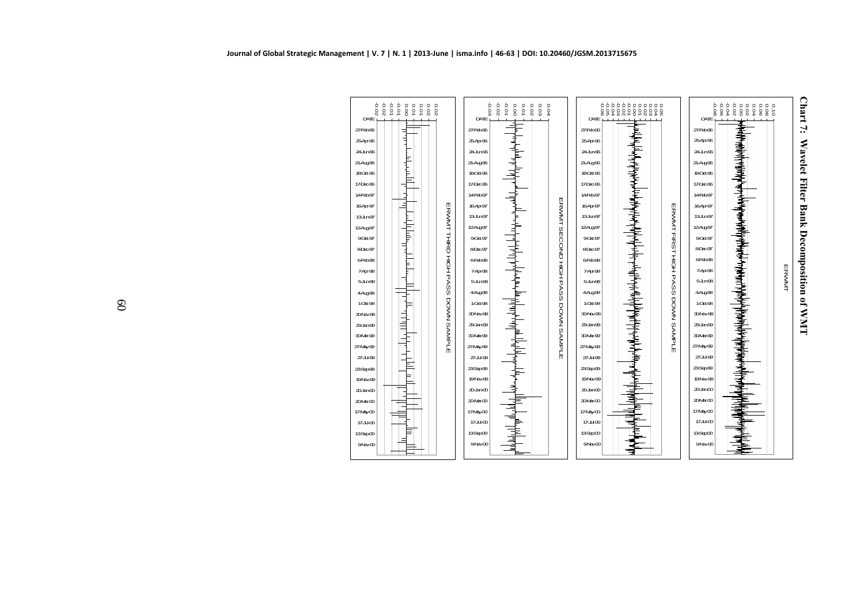



DATE27-Feb-9625-Apr-9624-Jun-9621-Aug-9618-Oct-9617-Dec-9614-Feb-9716-Apr-9713-Jun-9712-Aug-979-Oct-978-Dec-976-Feb-987-Apr-985-Jun-984Ag98 1-Oct-9830-Nov-9829Jan-99 30-Mar-9927-May-9927-Jul-9923-Sep-99 $19Nb/99$  $20$  Jan $-00$ 20-Mar-0017-May-0017-Jul-00 $13$ Sep $\omega$  $9N<sub>2</sub>$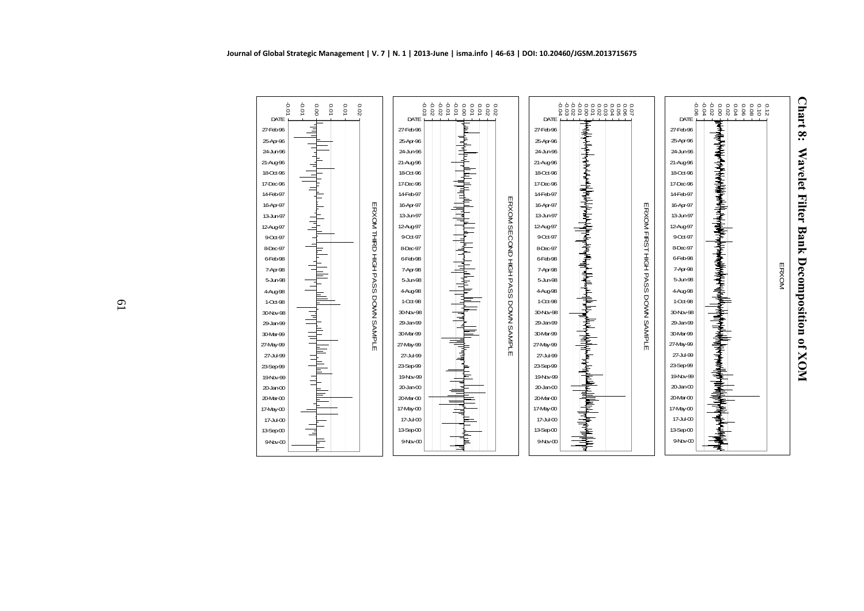



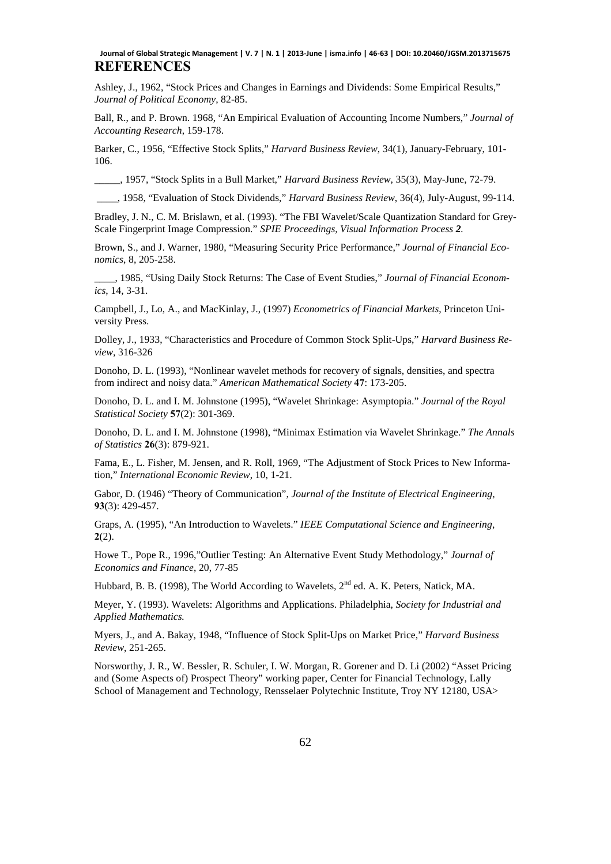## **REFERENCES Journal of Global Strategic Management | V. 7 | N. 1 | 2013-June | isma.info | 46-63 | DOI: 10.20460/JGSM.2013715675**

Ashley, J., 1962, "Stock Prices and Changes in Earnings and Dividends: Some Empirical Results," *Journal of Political Economy*, 82-85.

Ball, R., and P. Brown. 1968, "An Empirical Evaluation of Accounting Income Numbers," *Journal of Accounting Research*, 159-178.

Barker, C., 1956, "Effective Stock Splits," *Harvard Business Review*, 34(1), January-February, 101- 106.

\_\_\_\_\_, 1957, "Stock Splits in a Bull Market," *Harvard Business Review*, 35(3), May-June, 72-79.

\_\_\_\_, 1958, "Evaluation of Stock Dividends," *Harvard Business Review*, 36(4), July-August, 99-114.

Bradley, J. N., C. M. Brislawn, et al. (1993). "The FBI Wavelet/Scale Quantization Standard for Grey-Scale Fingerprint Image Compression." *SPIE Proceedings, Visual Information Process 2.*

Brown, S., and J. Warner, 1980, "Measuring Security Price Performance," *Journal of Financial Economics*, 8, 205-258.

\_\_\_\_, 1985, "Using Daily Stock Returns: The Case of Event Studies," *Journal of Financial Economics*, 14, 3-31.

Campbell, J., Lo, A., and MacKinlay, J., (1997) *Econometrics of Financial Markets*, Princeton University Press.

Dolley, J., 1933, "Characteristics and Procedure of Common Stock Split-Ups," *Harvard Business Review*, 316-326

Donoho, D. L. (1993), "Nonlinear wavelet methods for recovery of signals, densities, and spectra from indirect and noisy data." *American Mathematical Society* **47**: 173-205.

Donoho, D. L. and I. M. Johnstone (1995), "Wavelet Shrinkage: Asymptopia." *Journal of the Royal Statistical Society* **57**(2): 301-369.

Donoho, D. L. and I. M. Johnstone (1998), "Minimax Estimation via Wavelet Shrinkage." *The Annals of Statistics* **26**(3): 879-921.

Fama, E., L. Fisher, M. Jensen, and R. Roll, 1969, "The Adjustment of Stock Prices to New Information," *International Economic Review*, 10, 1-21.

Gabor, D. (1946) "Theory of Communication", *Journal of the Institute of Electrical Engineering*, **93**(3): 429-457.

Graps, A. (1995), "An Introduction to Wavelets." *IEEE Computational Science and Engineering,*  **2**(2).

Howe T., Pope R., 1996,"Outlier Testing: An Alternative Event Study Methodology," *Journal of Economics and Finance*, 20, 77-85

Hubbard, B. B. (1998), The World According to Wavelets, 2<sup>nd</sup> ed. A. K. Peters, Natick, MA.

Meyer, Y. (1993). Wavelets: Algorithms and Applications. Philadelphia, *Society for Industrial and Applied Mathematics.* 

Myers, J., and A. Bakay, 1948, "Influence of Stock Split-Ups on Market Price," *Harvard Business Review*, 251-265.

Norsworthy, J. R., W. Bessler, R. Schuler, I. W. Morgan, R. Gorener and D. Li (2002) "Asset Pricing and (Some Aspects of) Prospect Theory" working paper, Center for Financial Technology, Lally School of Management and Technology, Rensselaer Polytechnic Institute, Troy NY 12180, USA>